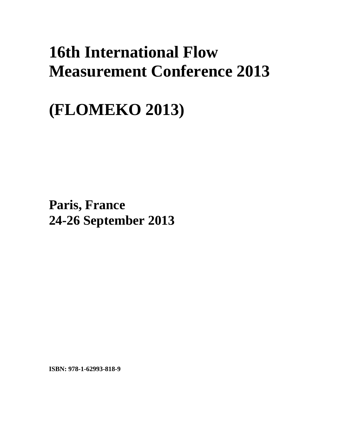## **16th International Flow Measurement Conference 2013**

## **(FLOMEKO 2013)**

**Paris, France 24-26 September 2013**

**ISBN: 978-1-62993-818-9**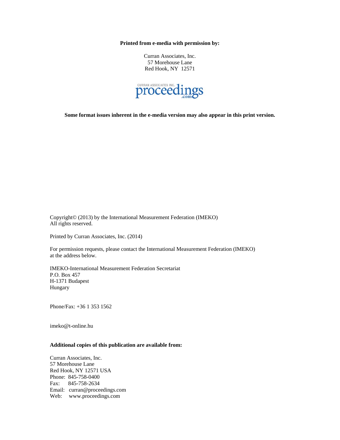**Printed from e-media with permission by:** 

Curran Associates, Inc. 57 Morehouse Lane Red Hook, NY 12571



**Some format issues inherent in the e-media version may also appear in this print version.** 

Copyright© (2013) by the International Measurement Federation (IMEKO) All rights reserved.

Printed by Curran Associates, Inc. (2014)

For permission requests, please contact the International Measurement Federation (IMEKO) at the address below.

IMEKO-International Measurement Federation Secretariat P.O. Box 457 H-1371 Budapest Hungary

Phone/Fax: +36 1 353 1562

imeko@t-online.hu

## **Additional copies of this publication are available from:**

Curran Associates, Inc. 57 Morehouse Lane Red Hook, NY 12571 USA Phone: 845-758-0400 Fax: 845-758-2634 Email: curran@proceedings.com Web: www.proceedings.com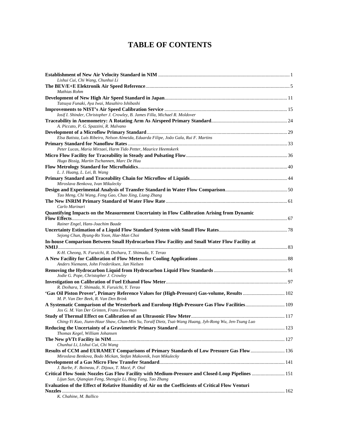## **TABLE OF CONTENTS**

| Lishui Cui, Chi Wang, Chunhui Li                                                                                                                            |  |
|-------------------------------------------------------------------------------------------------------------------------------------------------------------|--|
|                                                                                                                                                             |  |
| Mathias Rohm                                                                                                                                                |  |
|                                                                                                                                                             |  |
| Tatsuya Funaki, Aya Iwai, Masahiro Ishibashi                                                                                                                |  |
|                                                                                                                                                             |  |
| Iosif I. Shinder, Christopher J. Crowley, B. James Filla, Michael R. Moldover                                                                               |  |
|                                                                                                                                                             |  |
| A. Piccato, P. G. Spazzini, R. Malvano                                                                                                                      |  |
|                                                                                                                                                             |  |
| Elsa Batista, Luís Ribeiro, Nelson Almeida, Eduarda Filipe, João Gala, Rui F. Martins                                                                       |  |
|                                                                                                                                                             |  |
| Peter Lucas, Maria Mirzaei, Harm Tido Petter, Maurice Heemskerk                                                                                             |  |
|                                                                                                                                                             |  |
| Hugo Bissig, Martin Tschannen, Marc De Huu                                                                                                                  |  |
|                                                                                                                                                             |  |
| L. J. Huang, L. Lei, B. Wang                                                                                                                                |  |
|                                                                                                                                                             |  |
| Miroslava Benkova, Ivan Mikulecky                                                                                                                           |  |
|                                                                                                                                                             |  |
| Tao Meng, Chi Wang, Feng Gao, Chao Xing, Liang Zhang                                                                                                        |  |
|                                                                                                                                                             |  |
| Carlo Marinari                                                                                                                                              |  |
| Quantifying Impacts on the Measurement Uncertainty in Flow Calibration Arising from Dynamic                                                                 |  |
|                                                                                                                                                             |  |
| Rainer Engel, Hans-Joachim Baade                                                                                                                            |  |
|                                                                                                                                                             |  |
| Sejong Chun, Byung-Ro Yoon, Hae-Man Choi                                                                                                                    |  |
| In-house Comparison Between Small Hydrocarbon Flow Facility and Small Water Flow Facility at                                                                |  |
|                                                                                                                                                             |  |
| K-H. Cheong, N. Furuichi, R. Doihara, T. Shimada, Y. Terao                                                                                                  |  |
| Anders Niemann, John Frederiksen, Jan Nielsen                                                                                                               |  |
|                                                                                                                                                             |  |
| Jodie G. Pope, Christopher J. Crowley                                                                                                                       |  |
|                                                                                                                                                             |  |
| R. Doihara, T. Shimada, N. Furuichi, Y. Terao                                                                                                               |  |
| 'Gas Oil Piston Prover', Primary Reference Values for (High-Pressure) Gas-volume, Results  102                                                              |  |
| M. P. Van Der Beek, R. Van Den Brink                                                                                                                        |  |
| A Systematic Comparison of the Westerbork and Euroloop High-Pressure Gas Flow Facilities 109<br>Jos G. M. Van Der Grinten, Frans Doorman                    |  |
|                                                                                                                                                             |  |
| Ching-Yi Kuo, Jiunn-Haur Shaw, Chun-Min Su, Toralf Dietz, Tsai-Wang Huang, Jyh-Rong Wu, Jen-Tsung Luo                                                       |  |
|                                                                                                                                                             |  |
| Thomas Kegel, William Johansen                                                                                                                              |  |
|                                                                                                                                                             |  |
| Chunhui Li, Lishui Cui, Chi Wang                                                                                                                            |  |
| Results of CCM and EURAMET Comparisons of Primary Standards of Low Pressure Gas Flow 136<br>Miroslava Benkova, Bodo Mickan, Stefan Makovnik, Ivan Mikulecky |  |
|                                                                                                                                                             |  |
| J. Barbe, F. Boineau, F. Dijoux, T. Macé, P. Otal                                                                                                           |  |
| Critical Flow Sonic Nozzles Gas Flow Facility with Medium-Pressure and Closed-Loop Pipelines  151                                                           |  |
| Lijun Sun, Qianqian Feng, Shengjie Li, Bing Tang, Tao Zhang                                                                                                 |  |
| Evaluation of the Effect of Relative Humidity of Air on the Coefficients of Critical Flow Venturi                                                           |  |
|                                                                                                                                                             |  |
|                                                                                                                                                             |  |

*K. Chahine, M. Ballico*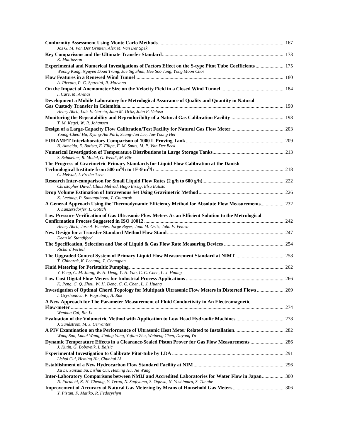| Jos G. M. Van Der Grinten, Alex M. Van Der Spek                                                                                                                                                      |  |
|------------------------------------------------------------------------------------------------------------------------------------------------------------------------------------------------------|--|
|                                                                                                                                                                                                      |  |
| K. Mattiasson<br>Experimental and Numerical Investigations of Factors Effect on the S-type Pitot Tube Coefficients  175<br>Woong Kang, Nguyen Doan Trang, Jae Sig Shim, Hee Soo Jang, Yong Moon Choi |  |
| A. Piccato, P. G. Spazzini, R. Malvano                                                                                                                                                               |  |
| I. Care, M. Arenas                                                                                                                                                                                   |  |
| Development a Mobile Laboratory for Metrological Assurance of Quality and Quantity in Natural                                                                                                        |  |
| Henry Abril, Luis E. García, Juan M. Ortiz, John F. Velosa<br>T. M. Kegel, W. R. Johansen                                                                                                            |  |
| Young-Cheol Ha, Kyung-Am Park, Seung-Jun Lee, Jae-Young Her                                                                                                                                          |  |
| N. Almeida, E. Batista, E. Filipe, F. M. Smits, M. P. Van Der Beek                                                                                                                                   |  |
| S. Schmelter, R. Model, G. Wendt, M. Bär                                                                                                                                                             |  |
| The Progress of Gravimetric Primary Standards for Liquid Flow Calibration at the Danish                                                                                                              |  |
| C. Melvad, J. Frederiksen                                                                                                                                                                            |  |
| Christopher David, Claus Melvad, Hugo Bissig, Elsa Batista                                                                                                                                           |  |
| K. Leetang, P. Samanpiboon, T. Chinarak                                                                                                                                                              |  |
| A General Approach Using the Thermodynamic Efficiency Method for Absolute Flow Measurements232<br>J. Lanzersdorfer, L. Götsch                                                                        |  |
| Low Pressure Verification of Gas Ultrasonic Flow Meters As an Efficient Solution to the Metrological                                                                                                 |  |
| Henry Abril, Jose A. Fuentes, Jorge Reyes, Juan M. Ortiz, John F. Velosa                                                                                                                             |  |
| Dean M. Standiford                                                                                                                                                                                   |  |
| <b>Richard Fertell</b>                                                                                                                                                                               |  |
| T. Chinarak, K. Leetang, T. Changpan                                                                                                                                                                 |  |
|                                                                                                                                                                                                      |  |
| Y. Feng, C. M. Jiang, W. H. Deng, Y. H. Yao, C. C. Chen, L. J. Huang                                                                                                                                 |  |
| K. Peng, C. Q. Zhou, W. H. Deng, C. C. Chen, L. J. Huang                                                                                                                                             |  |
| Investigation of Optimal Chord Topology for Multipath Ultrasonic Flow Meters in Distorted Flows  269<br>I. Gryshanova, P. Pogrebniy, A. Rak                                                          |  |
| A New Approach for The Parameter Measurement of Fluid Conductivity in An Electromagnetic                                                                                                             |  |
| Wenhua Cui, Bin Li                                                                                                                                                                                   |  |
| J. Sundström, M. J. Cervantes                                                                                                                                                                        |  |
| Wang Sun, Luhai Wang, Jiming Yang, Yujian Zhu, Weipeng Chen, Dayong Yu                                                                                                                               |  |
| J. Kutin, G. Bobovnik, I. Bajsic                                                                                                                                                                     |  |
| Lishui Cui, Heming Hu, Chunhui Li                                                                                                                                                                    |  |
| Xu Li, Yanxun Su, Lishui Cui, Heming Hu, Jie Wang                                                                                                                                                    |  |
| Inter-Laboratory Comparisons between NMIJ and Accredited Laboratories for Water Flow in Japan 300<br>N. Furuichi, K. H. Cheong, Y. Terao, N. Sugiyama, S. Ogawa, N. Yoshimura, S. Tanabe             |  |
| Y. Pistun, F. Matiko, R. Fedoryshyn                                                                                                                                                                  |  |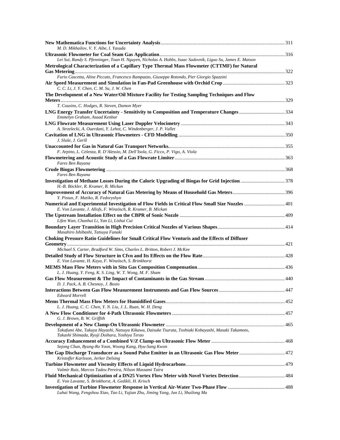| M. D. Mikhailov, V. Y. Aibe, I. Yasuda                                                                                                                           |  |
|------------------------------------------------------------------------------------------------------------------------------------------------------------------|--|
|                                                                                                                                                                  |  |
| Lei Sui, Randy S. Pfenninger, Toan H. Nguyen, Nicholas A. Hobbs, Isaac Sadovnik, Liguo Su, James E. Matson                                                       |  |
| Metrological Characterization of a Capillary Type Thermal Mass Flowmeter (CTTMF) for Natural                                                                     |  |
| Furio Cascetta, Aline Piccato, Francesco Rampazzo, Giuseppe Rotondo, Pier Giorgio Spazzini                                                                       |  |
| C. C. Li, J. Y. Chen, C. M. Su, J. W. Chen                                                                                                                       |  |
| The Development of a New Water/Oil Mixture Facility for Testing Sampling Techniques and Flow                                                                     |  |
|                                                                                                                                                                  |  |
| T. Cousins, C. Hodges, R. Steven, Damon Myer                                                                                                                     |  |
| Emmelyn Graham, Asaad Kenbar                                                                                                                                     |  |
|                                                                                                                                                                  |  |
| A. Strzelecki, A. Ouerdani, Y. Lehot, C. Windenberger, J. P. Vallet                                                                                              |  |
| J. Sluše, J. Geršl                                                                                                                                               |  |
|                                                                                                                                                                  |  |
| F. Arpino, L. Celenza, R. D'Alessio, M. Dell'Isola, G. Ficco, P. Vigo, A. Viola                                                                                  |  |
| Fares Ben Rayana                                                                                                                                                 |  |
|                                                                                                                                                                  |  |
| Fares Ben Rayana                                                                                                                                                 |  |
| H.-B. Böckler, R. Kramer, B. Mickan                                                                                                                              |  |
| Y. Pistun, F. Matiko, R. Fedoryshyn                                                                                                                              |  |
| Numerical and Experimental Investigation of Flow Fields in Critical Flow Small Size Nozzles  401<br>E. Von Lavante, J. Allofs, F. Winzösch, R. Kramer, B. Mickan |  |
| Lifen Wan, Chunhui Li, Yan Li, Lishui Cui                                                                                                                        |  |
| Masahiro Ishibashi, Tatsuya Funaki                                                                                                                               |  |
| <b>Choking Pressure Ratio Guidelines for Small Critical Flow Venturis and the Effects of Diffuser</b>                                                            |  |
| Michael S. Carter, Bradford W. Sims, Charles L. Britton, Robert J. McKee                                                                                         |  |
|                                                                                                                                                                  |  |
| E. Von Lavante, H. Kaya, F. Winzösch, S. Brinkhorst                                                                                                              |  |
| L. J. Huang, Y. Feng, K. S. Ling, W. T. Wong, M. F. Sham                                                                                                         |  |
|                                                                                                                                                                  |  |
| D. J. Pack, A. B. Chesnoy, J. Bosio                                                                                                                              |  |
| <b>Edward Morrell</b>                                                                                                                                            |  |
|                                                                                                                                                                  |  |
| L. J. Huang, C. C. Chen, Y. N. Liu, J. L. Ruan, W. H. Deng                                                                                                       |  |
| G. J. Brown, B. W. Griffith                                                                                                                                      |  |
| Takafumi Abe, Takuya Hayashi, Natsuya Kikawa, Daisuke Tsuruta, Toshiaki Kobayashi, Masaki Takamoto,                                                              |  |
| Takashi Shimada, Ryoji Doihara, Yoshiya Terao                                                                                                                    |  |
| Sejong Chun, Byung-Ro Yoon, Woong Kang, Hyu-Sang Kwon                                                                                                            |  |
| The Gap Discharge Transducer as a Sound Pulse Emitter in an Ultrasonic Gas Flow Meter 472<br>Kristoffer Karlsson, Jerker Delsing                                 |  |
|                                                                                                                                                                  |  |
| Valmir Ruiz, Marcos Tadeu Pereira, Nilson Massami Taira                                                                                                          |  |
| Fluid Mechanical Optimization of a DN25 Vortex Flow Meter with Novel Vortex Detection  484<br>E. Von Lavante, S. Brinkhorst, A. Gedikli, H. Krisch               |  |
| Luhai Wang, Fengshou Xiao, Tao Li, Yujian Zhu, Jiming Yang, Jun Li, Shuilong Ma                                                                                  |  |